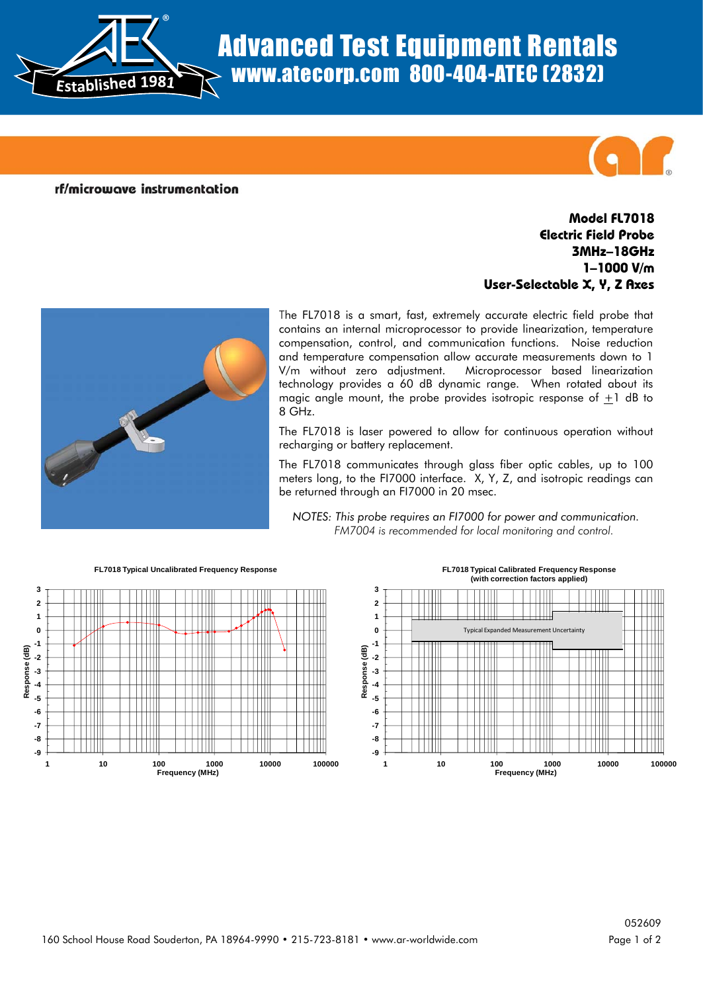

## Advanced Test Equipment Rentals www.atecorp.com 800-404-ATEC (2832)

rf/microwave instrumentation

## **Model FL7018 Electric Field Probe 3MHz–18GHz 1–1000 V/m User-Selectable X, Y, Z Axes**



The FL7018 is a smart, fast, extremely accurate electric field probe that contains an internal microprocessor to provide linearization, temperature compensation, control, and communication functions. Noise reduction and temperature compensation allow accurate measurements down to 1 V/m without zero adjustment. Microprocessor based linearization technology provides a 60 dB dynamic range. When rotated about its magic angle mount, the probe provides isotropic response of  $+1$  dB to 8 GHz.

The FL7018 is laser powered to allow for continuous operation without recharging or battery replacement.

The FL7018 communicates through glass fiber optic cables, up to 100 meters long, to the FI7000 interface. X, Y, Z, and isotropic readings can be returned through an FI7000 in 20 msec.

*NOTES: This probe requires an FI7000 for power and communication. FM7004 is recommended for local monitoring and control.*



**FL7018 Typical Calibrated Frequency Response (with correction factors applied)**